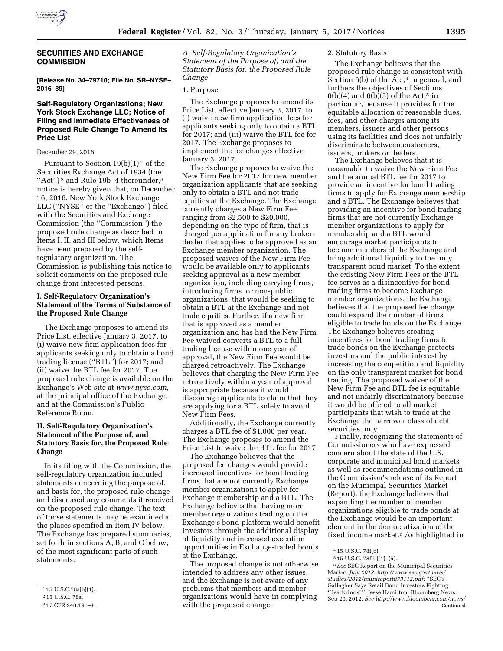

# **SECURITIES AND EXCHANGE COMMISSION**

**[Release No. 34–79710; File No. SR–NYSE– 2016–89]** 

# **Self-Regulatory Organizations; New York Stock Exchange LLC; Notice of Filing and Immediate Effectiveness of Proposed Rule Change To Amend Its Price List**

#### December 29, 2016.

Pursuant to Section  $19(b)(1)^1$  of the Securities Exchange Act of 1934 (the "Act")<sup>2</sup> and Rule 19b-4 thereunder,<sup>3</sup> notice is hereby given that, on December 16, 2016, New York Stock Exchange LLC (''NYSE'' or the ''Exchange'') filed with the Securities and Exchange Commission (the ''Commission'') the proposed rule change as described in Items I, II, and III below, which Items have been prepared by the selfregulatory organization. The Commission is publishing this notice to solicit comments on the proposed rule change from interested persons.

### **I. Self-Regulatory Organization's Statement of the Terms of Substance of the Proposed Rule Change**

The Exchange proposes to amend its Price List, effective January 3, 2017, to (i) waive new firm application fees for applicants seeking only to obtain a bond trading license (''BTL'') for 2017; and (ii) waive the BTL fee for 2017. The proposed rule change is available on the Exchange's Web site at *[www.nyse.com,](http://www.nyse.com)*  at the principal office of the Exchange, and at the Commission's Public Reference Room.

# **II. Self-Regulatory Organization's Statement of the Purpose of, and Statutory Basis for, the Proposed Rule Change**

In its filing with the Commission, the self-regulatory organization included statements concerning the purpose of, and basis for, the proposed rule change and discussed any comments it received on the proposed rule change. The text of those statements may be examined at the places specified in Item IV below. The Exchange has prepared summaries, set forth in sections A, B, and C below, of the most significant parts of such statements.

*A. Self-Regulatory Organization's Statement of the Purpose of, and the Statutory Basis for, the Proposed Rule Change* 

#### 1. Purpose

The Exchange proposes to amend its Price List, effective January 3, 2017, to (i) waive new firm application fees for applicants seeking only to obtain a BTL for 2017; and (iii) waive the BTL fee for 2017. The Exchange proposes to implement the fee changes effective January 3, 2017.

The Exchange proposes to waive the New Firm Fee for 2017 for new member organization applicants that are seeking only to obtain a BTL and not trade equities at the Exchange. The Exchange currently charges a New Firm Fee ranging from \$2,500 to \$20,000, depending on the type of firm, that is charged per application for any brokerdealer that applies to be approved as an Exchange member organization. The proposed waiver of the New Firm Fee would be available only to applicants seeking approval as a new member organization, including carrying firms, introducing firms, or non-public organizations, that would be seeking to obtain a BTL at the Exchange and not trade equities. Further, if a new firm that is approved as a member organization and has had the New Firm Fee waived converts a BTL to a full trading license within one year of approval, the New Firm Fee would be charged retroactively. The Exchange believes that charging the New Firm Fee retroactively within a year of approval is appropriate because it would discourage applicants to claim that they are applying for a BTL solely to avoid New Firm Fees.

Additionally, the Exchange currently charges a BTL fee of \$1,000 per year. The Exchange proposes to amend the Price List to waive the BTL fee for 2017.

The Exchange believes that the proposed fee changes would provide increased incentives for bond trading firms that are not currently Exchange member organizations to apply for Exchange membership and a BTL. The Exchange believes that having more member organizations trading on the Exchange's bond platform would benefit investors through the additional display of liquidity and increased execution opportunities in Exchange-traded bonds at the Exchange.

The proposed change is not otherwise intended to address any other issues, and the Exchange is not aware of any problems that members and member organizations would have in complying with the proposed change.

### 2. Statutory Basis

The Exchange believes that the proposed rule change is consistent with Section  $6(b)$  of the Act,<sup>4</sup> in general, and furthers the objectives of Sections  $6(b)(4)$  and  $6(b)(5)$  of the Act,<sup>5</sup> in particular, because it provides for the equitable allocation of reasonable dues, fees, and other charges among its members, issuers and other persons using its facilities and does not unfairly discriminate between customers, issuers, brokers or dealers.

The Exchange believes that it is reasonable to waive the New Firm Fee and the annual BTL fee for 2017 to provide an incentive for bond trading firms to apply for Exchange membership and a BTL. The Exchange believes that providing an incentive for bond trading firms that are not currently Exchange member organizations to apply for membership and a BTL would encourage market participants to become members of the Exchange and bring additional liquidity to the only transparent bond market. To the extent the existing New Firm Fees or the BTL fee serves as a disincentive for bond trading firms to become Exchange member organizations, the Exchange believes that the proposed fee change could expand the number of firms eligible to trade bonds on the Exchange. The Exchange believes creating incentives for bond trading firms to trade bonds on the Exchange protects investors and the public interest by increasing the competition and liquidity on the only transparent market for bond trading. The proposed waiver of the New Firm Fee and BTL fee is equitable and not unfairly discriminatory because it would be offered to all market participants that wish to trade at the Exchange the narrower class of debt securities only.

Finally, recognizing the statements of Commissioners who have expressed concern about the state of the U.S. corporate and municipal bond markets as well as recommendations outlined in the Commission's release of its Report on the Municipal Securities Market (Report), the Exchange believes that expanding the number of member organizations eligible to trade bonds at the Exchange would be an important element in the democratization of the fixed income market.6 As highlighted in

<sup>1</sup> 15 U.S.C.78s(b)(1).

<sup>2</sup> 15 U.S.C. 78a.

<sup>3</sup> 17 CFR 240.19b–4.

<sup>4</sup> 15 U.S.C. 78f(b).

<sup>5</sup> 15 U.S.C. 78f(b)(4), (5).

<sup>6</sup>*See* SEC Report on the Municipal Securities Market, *July 2012. [http://www.sec.gov/news/](http://www.sec.gov/news/studies/2012/munireport073112.pdf) [studies/2012/munireport073112.pdf;](http://www.sec.gov/news/studies/2012/munireport073112.pdf)* ''SEC's Gallagher Says Retail Bond Investors Fighting 'Headwinds'", Jesse Hamilton, Bloomberg News. Sep 20, 2012. *See<http://www.bloomberg.com/news/>* Continued